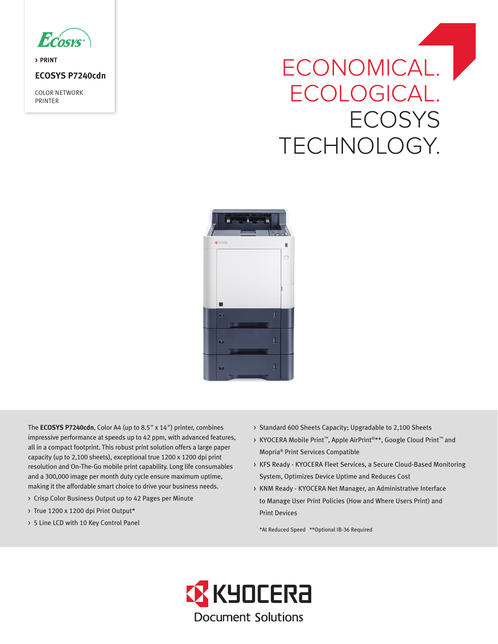

**> PRINT** 

# **ECOSYS P7240cdn**

COLOR NETWORK PRINTER

# ECONOMICAL. | ECOLOGICAL. **ECOSYS** TECHNOLOGY.



The **ECOSYS P7240cdn**, Color A4 (up to 8.5" x 14") printer, combines impressive performance at speeds up to 42 ppm, with advanced features, all in a compact footprint. This robust print solution offers a large paper capacity (up to 2,100 sheets), exceptional true 1200 x 1200 dpi print resolution and On-The-Go mobile print capability. Long life consumables and a 300,000 image per month duty cycle ensure maximum uptime, making it the affordable smart choice to drive your business needs.

- > Crisp Color Business Output up to 42 Pages per Minute
- > True 1200 x 1200 dpi Print Output\*
- > 5 Line LCD with 10 Key Control Panel
- > Standard 600 Sheets Capacity; Upgradable to 2,100 Sheets
- > KYOCERA Mobile Print™, Apple AirPrint®\*\*, Google Cloud Print™ and Mopria® Print Services Compatible
- > KFS Ready KYOCERA Fleet Services, a Secure Cloud-Based Monitoring System, Optimizes Device Uptime and Reduces Cost
- > KNM Ready KYOCERA Net Manager, an Administrative Interface to Manage User Print Policies (How and Where Users Print) and Print Devices

\*At Reduced Speed \*\*Optional IB-36 Required